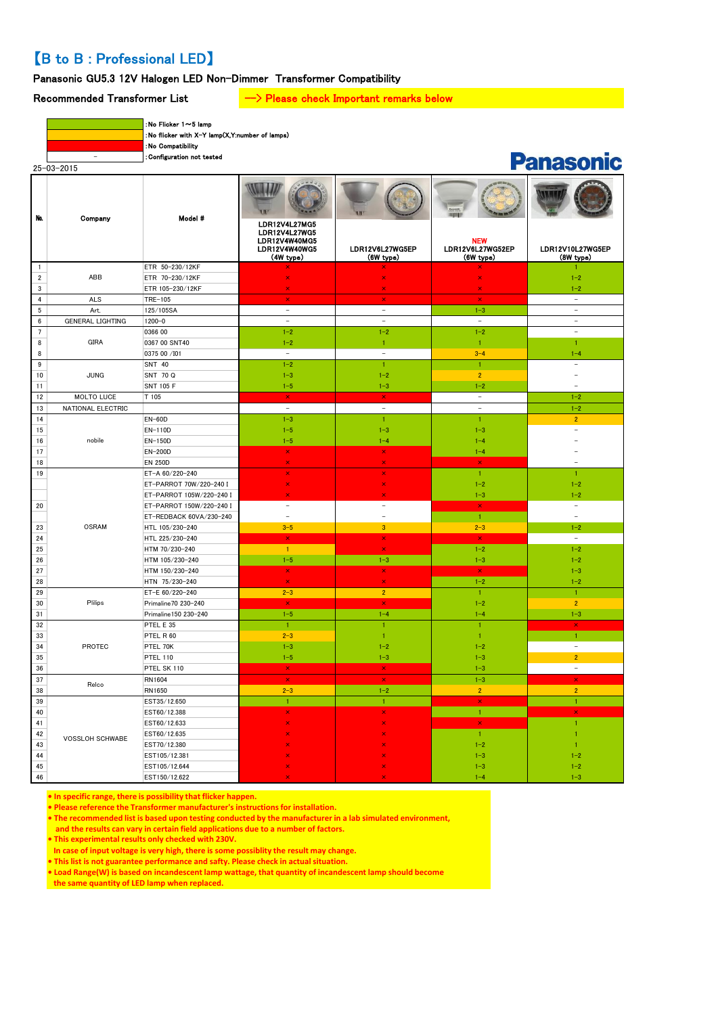# 【B to B : Professional LED】

# Panasonic GU5.3 12V Halogen LED Non-Dimmer Transformer Compatibility

# Recommended Transformer List  $\longrightarrow$  Please check Important remarks below

| $25 - 03 - 2015$ |
|------------------|
|                  |

:No Flicker 1~5 lamp :No flicker with X-Y lamp(X,Y:number of lamps)

:No Compatibility

- :Configuration not tested

| - 1<br>x<br>n a |
|-----------------|
|                 |

| Na.              | Company                 | Model #                        | LDR12V4L27MG5<br>LDR12V4L27WG5<br>LDR12V4W40MG5<br>LDR12V4W40WG5<br>(4W type) | LDR12V6L27WG5EP<br>(6W type) | <b>NEW</b><br>LDR12V6L27WG52EP<br>$(6W$ type) | LDR12V10L27WG5EP<br>(8W type) |
|------------------|-------------------------|--------------------------------|-------------------------------------------------------------------------------|------------------------------|-----------------------------------------------|-------------------------------|
| $\mathbf{1}$     |                         | ETR 50-230/12KF                |                                                                               |                              |                                               |                               |
| $\overline{2}$   | ABB                     | ETR 70-230/12KF                | ×                                                                             | ×                            | ×                                             | $1 - 2$                       |
| $\mathbf 3$      |                         | ETR 105-230/12KF               | $\overline{\mathbf{x}}$                                                       | $\overline{\mathbf{x}}$      | $\overline{\mathbf{x}}$                       | $1 - 2$                       |
| $\overline{4}$   | ALS                     | TRE-105                        | $\pmb{\times}$                                                                | $\pmb{\times}$               | $\pmb{\times}$                                | $\equiv$                      |
| $\,$ 5 $\,$      | Art.                    | 125/105SA                      | $\equiv$                                                                      | $\equiv$                     | $1 - 3$                                       | $\equiv$                      |
| $\bf 6$          | <b>GENERAL LIGHTING</b> | $1200 - 0$                     | $\sim$                                                                        | $\overline{a}$               | $\overline{a}$                                | $\sim$                        |
| $7\overline{ }$  |                         | 0366 00                        | $1 - 2$                                                                       | $1 - 2$                      | $1 - 2$                                       | $\equiv$                      |
| $\bf 8$          | <b>GIRA</b>             | 0367 00 SNT40                  | $1 - 2$                                                                       | $\mathbf{1}$                 | 1                                             | 1                             |
| 8                |                         | 0375 00 /101                   | $\sim$                                                                        | $\overline{a}$               | $3 - 4$                                       | $1 - 4$                       |
| $\boldsymbol{9}$ |                         | <b>SNT 40</b>                  | $1 - 2$                                                                       | $\mathbf{1}$                 | $\mathbf{1}$                                  | $\equiv$                      |
| 10               | <b>JUNG</b>             | SNT 70 Q                       | $1 - 3$                                                                       | $1 - 2$                      | $\overline{2}$                                | $\overline{\phantom{a}}$      |
| 11               |                         | <b>SNT 105 F</b>               | $1 - 5$                                                                       | $1 - 3$                      | $1 - 2$                                       | $\overline{a}$                |
| 12               | MOLTO LUCE              | T 105                          | $\mathbf x$                                                                   | $\mathbf x$                  | $\equiv$                                      | $1 - 2$                       |
| 13               | NATIONAL ELECTRIC       |                                | $\sim$                                                                        | $\equiv$                     | $\equiv$                                      | $1 - 2$                       |
| 14               |                         | <b>EN-60D</b>                  | $1 - 3$                                                                       | 1                            | $\mathbf{1}$                                  | $\overline{2}$                |
| 15               |                         | EN-110D                        | $1 - 5$                                                                       | $1 - 3$                      | $1 - 3$                                       |                               |
| $16$             | nobile                  | EN-150D                        | $1 - 5$                                                                       | $1 - 4$                      | $1 - 4$                                       |                               |
| 17               |                         | EN-200D                        | $\boldsymbol{\mathsf{x}}$                                                     | $\boldsymbol{\times}$        | $1 - 4$                                       |                               |
| 18               |                         | <b>EN 250D</b>                 | $\mathbf{x}$                                                                  | $\pmb{\times}$               | $\pmb{\times}$                                |                               |
| 19               |                         | ET-A 60/220-240                | ×                                                                             | $\boldsymbol{\times}$        | $\mathbf{1}$                                  | 1                             |
|                  |                         | ET-PARROT 70W/220-240 I        | ×                                                                             | $\pmb{\times}$               | $1 - 2$                                       | $1 - 2$                       |
|                  |                         | ET-PARROT 105W/220-240 I       | ×                                                                             | ×                            | $1 - 3$                                       | $1 - 2$                       |
| 20               |                         | ET-PARROT 150W/220-240 I       | $\equiv$                                                                      | $\equiv$                     | $\mathbf x$                                   | $\equiv$                      |
|                  |                         | ET-REDBACK 60VA/230-240        | $\equiv$                                                                      | $\equiv$                     | $\mathbf{1}$                                  | $\equiv$                      |
| 23               | <b>OSRAM</b>            | HTL 105/230-240                | $3 - 5$                                                                       | $\mathbf{3}$                 | $2 - 3$                                       | $1 - 2$                       |
| 24               |                         | HTL 225/230-240                | $\pmb{\times}$                                                                | $\pmb{\times}$               | $\pmb{\times}$                                | $\sim$                        |
| 25               |                         | HTM 70/230-240                 | $\mathbf{1}$                                                                  | $\bar{\mathbf{x}}$           | $1 - 2$                                       | $1 - 2$                       |
| 26               |                         | HTM 105/230-240                | $1 - 5$                                                                       | $1 - 3$                      | $1 - 3$                                       | $1 - 2$                       |
| 27               |                         | HTM 150/230-240                | $\pmb{\times}$                                                                | $\pmb{\times}$               | $\mathsf{x}$                                  | $1 - 3$                       |
| 28               |                         | HTN 75/230-240                 | $\overline{\mathsf{x}}$                                                       | $\overline{\mathsf{x}}$      | $1 - 2$                                       | $1 - 2$                       |
| 29               |                         | ET-E 60/220-240                | $2 - 3$                                                                       | $\overline{2}$               | 1                                             | $\mathbf{1}$                  |
| 30               | Plilips                 | Primaline70 230-240            | $\pmb{\times}$                                                                | $\bar{\mathbf{x}}$           | $1 - 2$                                       | $\overline{2}$                |
| 31               |                         | Primaline150 230-240           | $1 - 5$                                                                       | $1 - 4$                      | $1 - 4$                                       | $1 - 3$                       |
| 32               |                         | PTEL E 35                      | 1                                                                             | 1                            | 1                                             | $\pmb{\times}$                |
| 33               |                         | PTEL R 60                      | $2 - 3$                                                                       | $\mathbf{1}$                 | $\mathbf{1}$                                  | 1                             |
| 34               | <b>PROTEC</b>           | PTEL 70K                       | $1 - 3$                                                                       | $1 - 2$                      | $1 - 2$                                       | $\equiv$                      |
| 35               |                         | <b>PTEL 110</b>                | $1 - 5$                                                                       | $1 - 3$                      | $1 - 3$                                       | $\overline{2}$                |
| 36               |                         | PTEL SK 110                    | $\pmb{\times}$                                                                | $\bar{\mathbf{x}}$           | $1 - 3$                                       | $\equiv$                      |
| 37               | Relco                   | RN1604                         | $\pmb{\times}$                                                                | $\pmb{\times}$               | $1 - 3$                                       | $\pmb{\times}$                |
| 38               |                         | RN1650                         | $2 - 3$                                                                       | $1 - 2$                      | $\overline{2}$                                | $\overline{2}$                |
| 39               |                         | EST35/12.650                   | 1                                                                             | $\overline{1}$               | $\boldsymbol{\times}$                         | $\mathbf{1}$                  |
| 40               |                         | EST60/12.388                   | ×                                                                             | $\bar{\mathbf{x}}$           | $\mathbf{1}$                                  | $\pmb{\times}$                |
| 41               |                         | EST60/12.633                   |                                                                               |                              | $\mathbf x$                                   | 1                             |
| 42               | VOSSLOH SCHWABE         | EST60/12.635                   |                                                                               |                              | 1                                             |                               |
| 43               |                         | EST70/12.380                   |                                                                               |                              | $1 - 2$                                       |                               |
| 44               |                         | EST105/12.381                  |                                                                               |                              | $1 - 3$                                       | $1 - 2$                       |
| 45<br>46         |                         | EST105/12.644<br>EST150/12.622 |                                                                               |                              | $1 - 3$<br>$1 - 4$                            | $1 - 2$                       |
|                  |                         |                                |                                                                               |                              |                                               | $1 - 3$                       |

**• In specific range, there is possibility that flicker happen.**

**• Please reference the Transformer manufacturer's instructions for installation.**

**• The recommended list is based upon testing conducted by the manufacturer in a lab simulated environment,**

 **and the results can vary in certain field applications due to a number of factors.**

**• This experimental results only checked with 230V.**

**In case of input voltage is very high, there is some possiblity the result may change.**

**• This list is not guarantee performance and safty. Please check in actual situation.**

**• Load Range(W) is based on incandescent lamp wattage, that quantity of incandescent lamp should become**

 **the same quantity of LED lamp when replaced.**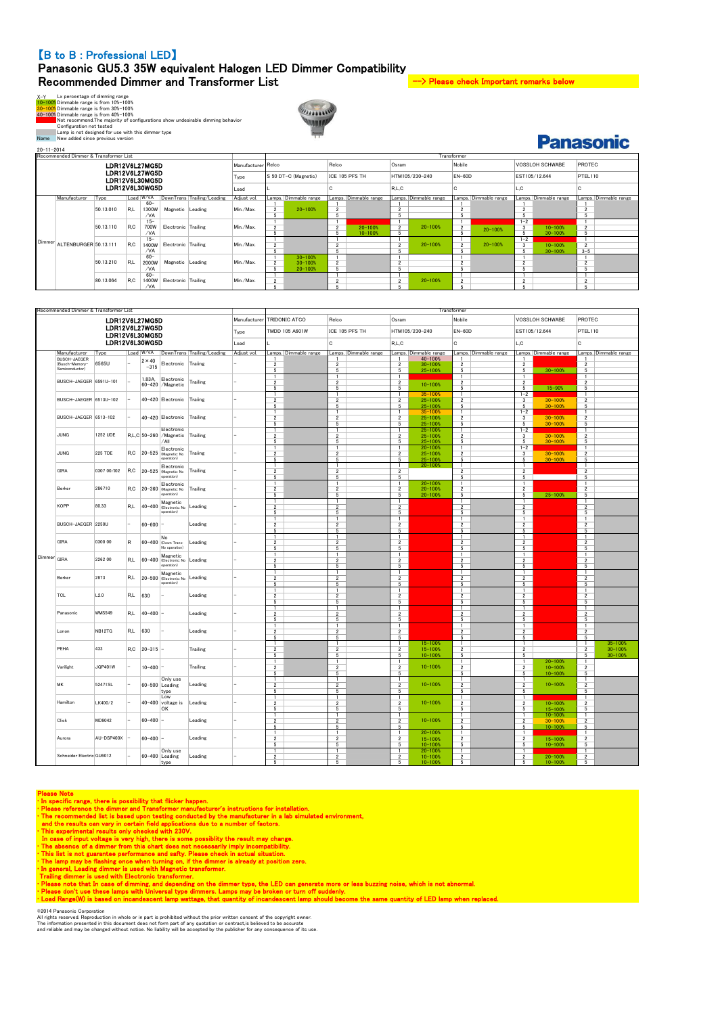### 【B to B : Professional LED】

### Panasonic GU5.3 35W equivalent Halogen LED Dimmer Compatibility Recommended Dimmer and Transformer List  $\rightarrow$  Please check Important remarks below

**Panasonic** 

X-Y<br>
Ly percentage of dimming range<br>
10-1000 Dimmable range is from 10%-100%<br>
20-1000 Dimmable range is from 30%-100%<br>
40-1008 Dimmable range is from 30%-100%<br>
40-1008 Dimmable range is from 40%-100%<br>
Configuration not tes



20-11-2014

|                | Recommended Dimmer & Transformer List |           |     |           |                     |                            |             |                      |                       |                |                       |                          |                       | Transformer    |                       |                        |                       |                |                       |
|----------------|---------------------------------------|-----------|-----|-----------|---------------------|----------------------------|-------------|----------------------|-----------------------|----------------|-----------------------|--------------------------|-----------------------|----------------|-----------------------|------------------------|-----------------------|----------------|-----------------------|
|                | LDR12V6L27MG5D                        |           |     |           |                     |                            |             | Manufacturer Relco   |                       | Relco          |                       | Osram                    |                       | Nobile         |                       | <b>VOSSLOH SCHWABE</b> |                       | PROTEC         |                       |
|                | LDR12V6L27WG5D<br>LDR12V6L30MG5D      |           |     |           |                     |                            | Type        | S 50 DT-C (Magnetic) |                       | ICE 105 PFS TH |                       |                          | HTM105/230-240        |                | $EN-60D$              |                        | EST105/12.644         | PTEL110        |                       |
| LDR12V6L30WG5D |                                       |           |     |           | Load                |                            |             | . .                  |                       | R.L.C          |                       | u                        |                       | L.C            |                       | C.                     |                       |                |                       |
|                | Manufacturer                          | Type      |     | Load W/VA |                     | DownTrans Trailing/Leading | Adjust vol. |                      | Lamps. Dimmable range |                | Lamps. Dimmable range |                          | Lamps. Dimmable range |                | Lamps. Dimmable range |                        | Lamps. Dimmable range |                | Lamps. Dimmable range |
|                |                                       |           |     | $60 -$    |                     |                            |             |                      |                       |                |                       |                          |                       |                |                       |                        |                       |                |                       |
|                |                                       | 50.13.010 | R.L | 1300W     | Magnetic Leading    |                            | Min./Max.   | $\overline{2}$       | $20 - 100%$           | $\overline{2}$ |                       | $\sim$                   |                       |                |                       |                        |                       | $\sim$         |                       |
|                |                                       |           |     | /VA       |                     |                            |             |                      |                       | 5              |                       |                          |                       |                |                       |                        |                       | 5              |                       |
|                |                                       |           |     | $15 -$    |                     |                            |             |                      |                       |                |                       |                          |                       |                |                       | $1 - 2$                |                       |                |                       |
|                |                                       | 50.13.110 | R.C | 700W      | Electronic Trailing |                            | Min./Max.   | $\sim$               |                       |                | $20 - 100%$           | $\overline{\phantom{a}}$ | $20 - 100%$           | $\overline{2}$ | $20 - 100%$           | 3                      | $10 - 100%$           | $\overline{2}$ |                       |
|                |                                       |           |     | /VA       |                     |                            |             |                      |                       |                | $10 - 100%$           | <b>C</b>                 |                       |                |                       | 5                      | $30 - 100%$           | 5              |                       |
| Dimmer         |                                       |           |     | $15 -$    |                     |                            |             |                      |                       |                |                       |                          |                       |                |                       | $1 - 2$                |                       |                |                       |
|                | ALTENBURGER 50.13.111                 |           | R.C | 1400W     | Electronic Trailing |                            | Min./Max.   | $\overline{2}$<br>ı  |                       | $\sim$         |                       | $\overline{2}$           | $20 - 100%$           | $\overline{2}$ | $20 - 100%$           | 3                      | $10 - 100%$           | $\overline{2}$ |                       |
|                |                                       |           |     | /VA       |                     |                            |             |                      |                       |                |                       |                          |                       |                |                       | 5                      | $30 - 100%$           | $3 - 5$        |                       |
|                |                                       |           |     | $60 -$    |                     |                            |             |                      | $30 - 100%$           |                |                       |                          |                       |                |                       |                        |                       |                |                       |
|                |                                       | 50.13.210 | R.L | 2000W     | Magnetic Leading    |                            | Min./Max.   | $\sim$               | $30 - 100%$           | $\overline{2}$ |                       | $\sim$                   |                       | $\sim$         |                       | $\sim$                 |                       | $\sim$<br>ے    |                       |
|                |                                       |           |     | /VA       |                     |                            |             |                      | $20 - 100%$           | 局              |                       |                          |                       |                |                       |                        |                       |                |                       |
|                |                                       |           |     | $60 -$    |                     |                            |             |                      |                       |                |                       |                          |                       |                |                       |                        |                       |                |                       |
|                |                                       | 80.13.064 | R.C | 1400W     | Electronic Trailing |                            | Min./Max.   |                      |                       |                |                       | $\overline{2}$           | $20 - 100%$           | $\overline{2}$ |                       |                        |                       | $\overline{2}$ |                       |
|                |                                       |           |     | /VA       |                     |                            |             |                      |                       | $\epsilon$     |                       |                          |                       |                |                       |                        |                       | к              |                       |

**MARIA LAND** WILL

|        | Recommended Dimmer & Transformer List |                                  |             |               |                                              |                            |              |                                         |                                  |                                  |                            | Transformer                      |                                        |                                                              |
|--------|---------------------------------------|----------------------------------|-------------|---------------|----------------------------------------------|----------------------------|--------------|-----------------------------------------|----------------------------------|----------------------------------|----------------------------|----------------------------------|----------------------------------------|--------------------------------------------------------------|
|        |                                       | LDR12V6L27MG5D                   |             |               |                                              |                            | Manufacturer | TRIDONIC ATCO<br>Relco                  |                                  | Osram                            |                            | Nobile                           | VOSSLOH SCHWABE                        | PROTEC                                                       |
|        |                                       | LDR12V6L27WG5D<br>LDR12V6L30MG5D |             |               |                                              |                            | Type         | TMDD 105 A601W                          | ICE 105 PFS TH<br>HTM105/230-240 |                                  | $EN-60D$                   | EST105/12.644                    | PTEL110                                |                                                              |
|        |                                       | LDR12V6L30WG5D                   |             |               |                                              |                            | Load         |                                         | C                                | R.L.C                            |                            | c                                | L.C                                    | C.                                                           |
|        | Manufacturer                          | Type                             |             | Load W/VA     |                                              | DownTrans Trailing/Leading | Adjust vol.  | Lamps. Dimmable range                   | Lamps. Dimmable range            |                                  | amps. Dimmable range       | Lamps. Dimmable range            | Lamps. Dimmable range                  | Lamps. Dimmable range                                        |
|        | BUSCH-JAEGER<br>(Busch-Memory-        | 6565U                            |             | $2 \times 40$ |                                              |                            |              | $\overline{\phantom{a}}$                |                                  |                                  | 40-100%                    |                                  |                                        |                                                              |
|        | Semiconductor)                        |                                  |             | $-315$        | Electronic Traiing                           |                            |              | 5                                       | $\overline{2}$<br>5              | $\overline{2}$<br>5              | $30 - 100%$<br>$25 - 100%$ | $\overline{\mathbf{2}}$<br>5     | $\overline{2}$<br>$30 - 100%$<br>5     | $\overline{2}$<br>5                                          |
|        |                                       |                                  |             |               |                                              |                            |              | $\mathbf{1}$                            | $\overline{1}$                   | $\mathbf{1}$                     |                            |                                  |                                        | $\mathbf{1}$                                                 |
|        | BUSCH-JAEGER 6591U-101                |                                  |             | 1.83A,        | Electronic                                   | Trailing                   |              | $\overline{2}$                          | $\overline{2}$                   | $\overline{2}$                   | $10 - 100%$                | $\overline{2}$                   | $\overline{\phantom{a}}$               | $\overline{2}$                                               |
|        |                                       |                                  |             | $60 - 420$    | /Magnetic                                    |                            |              | 5                                       | 5                                | 5                                |                            | 5                                | $15 - 90%$<br>5                        | $5\overline{5}$                                              |
|        |                                       |                                  |             |               |                                              |                            |              | $\overline{1}$                          | T                                | T                                | $35 - 100%$                | $\mathbf{1}$                     | $1 - 2$                                | T                                                            |
|        | BUSCH-JAEGER 6513U-102                |                                  |             |               | 40-420 Electronic                            | Traiing                    |              | $\overline{2}$                          | $\overline{2}$                   | $\overline{2}$                   | $25 - 100%$                | $\overline{\mathbf{2}}$          | $30 - 100%$<br>3                       | $\overline{\mathbf{2}}$                                      |
|        |                                       |                                  |             |               |                                              |                            |              | $\overline{5}$                          | $\overline{5}$                   | $\overline{5}$                   | $25 - 100%$                | 5                                | $30 - 100%$<br>5                       | 5                                                            |
|        | BUSCH-JAEGER 6513-102                 |                                  |             |               | 40-420 Electronic                            | Trailing                   |              | $\mathbf{1}$<br>$\overline{\mathbf{2}}$ | $\overline{1}$<br>$\overline{2}$ | $\mathbf{1}$<br>$\overline{2}$   | $35 - 100%$<br>$25 - 100%$ | $\overline{1}$<br>$\overline{2}$ | $1 - 2$<br>3<br>$30 - 100%$            | $\mathbf{1}$<br>$\overline{2}$                               |
|        |                                       |                                  |             |               |                                              |                            |              | 5                                       | 5                                | $5\overline{5}$                  | $25 - 100%$                | 5                                | 5<br>$30 - 100%$                       | 5                                                            |
|        |                                       |                                  |             |               | Electronic                                   |                            |              | $\mathbf{1}$                            | $\overline{1}$                   | $\mathbf{1}$                     | $25 - 100%$                | $\mathbf{1}$                     | $1 - 2$                                | 1                                                            |
|        | JUNG                                  | 1252 UDE                         |             |               | R.L.C 50-260 / Magnetic                      | Trailing                   |              | $\overline{2}$                          | $\overline{\mathbf{2}}$          | $\overline{2}$                   | $25 - 100%$                | $\overline{2}$                   | $30 - 100%$<br>3                       | $\overline{2}$                                               |
|        |                                       |                                  |             |               | /All                                         |                            |              | $\overline{5}$                          | $\overline{5}$                   | $\sqrt{5}$                       | $25 - 100%$                | 5                                | 5<br>30-100%                           | $5\overline{5}$                                              |
|        |                                       |                                  |             |               | Electronic                                   |                            |              | 1                                       | $\overline{1}$                   | 1                                | $20 - 100%$                |                                  | $1 - 2$                                | $\overline{1}$                                               |
|        | JUNG                                  | 225 TDE                          | R.C         |               | 20-525 (Magnetic: No<br>operation)           | Traiing                    |              | $\overline{2}$                          | $\overline{\mathbf{c}}$          | $\frac{2}{5}$                    | $25 - 100%$                | $\sqrt{2}$                       | $30 - 100%$<br>$\overline{\mathbf{3}}$ | $\sqrt{2}$                                                   |
|        |                                       |                                  |             |               |                                              |                            |              | 5<br>$\mathbf{1}$                       | 5<br>$\mathbf{1}$                | $\mathbf{1}$                     | 25-100%<br>$20 - 100%$     | 5<br>$\blacksquare$              | 5<br>30-100%<br>$\overline{1}$         | 5<br>$\mathbf{1}$                                            |
|        | <b>GIRA</b>                           | 0307 00/102                      | R, C        | $20 - 525$    | Electronic<br>(Magnetic: No                  | Trailing                   |              | $\overline{2}$                          | $\overline{2}$                   | $\overline{2}$                   |                            | $\overline{2}$                   | $\overline{2}$                         | $\overline{2}$                                               |
|        |                                       |                                  |             |               | operation)                                   |                            |              | 5                                       | 5                                | $\overline{5}$                   |                            | 5                                | 5                                      | 5                                                            |
|        |                                       |                                  |             |               | Electronic                                   |                            |              | $\blacksquare$                          | $\overline{1}$                   | $\overline{1}$                   | $20 - 100%$                | $\mathbf{1}$                     | $\overline{1}$                         | $\mathbf{1}$                                                 |
|        | Berker                                | 286710                           | R.C         |               | 20-360 Magnetic: No                          | Trailing                   |              | $\overline{2}$                          | $\overline{2}$                   | $\overline{2}$                   | $20 - 100%$                | $\overline{2}$                   | $\overline{2}$                         | $\overline{2}$                                               |
|        |                                       |                                  |             |               | operation)                                   |                            |              | 5                                       | 5                                | $5\overline{5}$                  | 20-100%                    | 5                                | $25 - 100%$<br>5                       | 5                                                            |
|        |                                       |                                  |             |               | Magnetic                                     |                            |              |                                         | $\overline{1}$                   | $\mathbf{1}$                     |                            |                                  |                                        | $\overline{1}$                                               |
|        | <b>KOPP</b>                           | 80.33                            | R.L         |               | 40-400 (Electronic: No<br>operation)         | Leading                    |              | $\overline{2}$                          | $\overline{2}$                   | $\overline{2}$                   |                            | $\overline{2}$                   | $\overline{2}$                         | $\overline{2}$                                               |
|        |                                       |                                  |             |               |                                              |                            |              | 5<br>$\mathbf{1}$                       | 5<br>$\overline{1}$              | 5<br>$\mathbf{1}$                |                            | 5<br>$\mathbf{1}$                | 5<br>$\overline{1}$                    | 5<br>$\overline{1}$                                          |
|        | BUSCH-JAEGER 2250U                    |                                  |             | $60 - 600$    |                                              | Leading                    |              | $\overline{\mathbf{2}}$                 | $\overline{2}$                   | $\overline{2}$                   |                            | $\overline{2}$                   | $\overline{2}$                         | $\overline{2}$                                               |
|        |                                       |                                  |             |               |                                              |                            |              | 5                                       | 5                                | $\sqrt{5}$                       |                            | 5                                | 5                                      | 5                                                            |
|        |                                       |                                  |             |               | No                                           |                            |              | $\overline{1}$                          | $\overline{1}$                   | $\mathbf{1}$                     |                            | $\mathbf{1}$                     | $\overline{1}$                         | $\mathbf{1}$                                                 |
|        | GIRA                                  | 0300 00                          | $\mathbb R$ |               | 60-400 Down Trans:                           | Leading                    |              | $\overline{2}$                          | $\overline{2}$                   | $\overline{2}$                   |                            | $\overline{2}$                   | 2                                      | $\overline{2}$                                               |
|        |                                       |                                  |             |               | No operation)                                |                            |              | 5                                       | 5                                | 5                                |                            | 5                                | -5                                     | -5                                                           |
| Dimmer | GIRA                                  | R.L                              |             |               | Magnetic                                     |                            |              | $\mathbf{1}$                            | $\overline{1}$                   | $\mathbf{1}$                     |                            | $\mathbf{1}$                     | $\mathbf{1}$                           | $\mathbf{1}$                                                 |
|        |                                       | 2262 00                          |             |               | 60-400 (Electronic: No Leading<br>operation) |                            |              | $\overline{2}$<br>5                     | $\overline{2}$<br>5              | $\overline{2}$<br>$\overline{5}$ |                            | $\overline{2}$<br>5              | $\overline{2}$<br>5                    | $\overline{2}$<br>5                                          |
|        |                                       |                                  |             |               |                                              |                            |              | $\mathbf{1}$                            | $\mathbf{1}$                     | $\mathbf{1}$                     |                            | $\mathbf{1}$                     | $\overline{1}$                         | $\mathbf{1}$                                                 |
|        | Berker                                | 2873                             | R.L         |               | Magnetic<br>20-500 (Electronic: No           | Leading                    |              | $\overline{2}$                          | $\overline{2}$                   | $\overline{2}$                   |                            | $\overline{2}$                   | $\overline{2}$                         | $\overline{2}$                                               |
|        |                                       |                                  |             |               | operation)                                   |                            |              | 5                                       | $\overline{5}$                   | 5                                |                            | $\overline{5}$                   | 5                                      | 5                                                            |
|        |                                       |                                  |             |               |                                              |                            |              | $\mathbf{1}$                            | $\overline{1}$                   | $\mathbf{1}$                     |                            | $\mathbf{1}$                     | $\overline{1}$                         | $\mathbf{1}$                                                 |
|        | <b>TCL</b>                            | L2.0                             | R.L         | 630           |                                              | Leading                    |              | $\sqrt{2}$                              | $\overline{2}$                   | $\overline{2}$                   |                            | $\overline{\mathbf{c}}$          | $\overline{2}$                         | $\overline{\mathbf{c}}$                                      |
|        |                                       |                                  |             |               |                                              |                            |              | $\overline{5}$<br>$\mathbf{1}$          | $\overline{5}$<br>$\overline{1}$ | $5\overline{5}$<br>$\mathbf{1}$  |                            | 5<br>$\mathbf{1}$                | 5<br>$\overline{1}$                    | 5<br>$\mathbf{1}$                                            |
|        | Panasonic                             | <b>WMS549</b>                    | R.L         | 40-400        |                                              | Leading                    |              | $\overline{2}$                          | $\overline{2}$                   | $\overline{2}$                   |                            | $\overline{2}$                   | $\overline{2}$                         | $\overline{2}$                                               |
|        |                                       |                                  |             |               |                                              |                            |              | 5                                       | 5                                | $5\overline{5}$                  |                            | 5                                | 5                                      | 5                                                            |
|        |                                       |                                  |             |               |                                              |                            |              | $\mathbf{1}$                            | $\overline{1}$                   | $\mathbf{1}$                     |                            | $\mathbf{1}$                     | $\mathbf{1}$                           | $\mathbf{1}$                                                 |
|        | Lonon                                 | NB12TG                           | R.L         | 630           |                                              | Leading                    |              | $\overline{2}$                          | $\overline{2}$                   | $\overline{2}$                   |                            | $\overline{2}$                   | $\overline{2}$                         | $\overline{2}$                                               |
|        |                                       |                                  |             |               |                                              |                            |              | $\sqrt{5}$                              | $\sqrt{5}$                       | $\sqrt{5}$                       |                            | 5                                | 5                                      | 5                                                            |
|        | PEHA                                  | 433                              | R.C         | $20 - 315$    |                                              | Trailing                   |              | 1<br>$\overline{2}$                     | -1<br>$\overline{\mathbf{c}}$    | $\mathbf{1}$                     | $15 - 100%$<br>$15 - 100%$ | $\sqrt{2}$                       | $\overline{\mathbf{2}}$                | $35 - 100%$<br>$\mathbf{1}$<br>$\overline{2}$<br>$30 - 100%$ |
|        |                                       |                                  |             |               |                                              |                            |              | 5                                       | 5                                | $\frac{2}{5}$                    | $10 - 100%$                | 5                                | 5                                      | 5<br>$30 - 100%$                                             |
|        |                                       |                                  |             |               |                                              |                            |              | 1                                       | $\mathbf{1}$                     | $\mathbf{1}$                     |                            |                                  | 20-100%                                | $\mathbf{1}$                                                 |
|        | Varilight                             | JQP401W                          |             | $10 - 400$    |                                              | Trailing                   |              | $\overline{2}$                          | $\overline{2}$                   | $\overline{2}$                   | $10 - 100%$                | $\overline{\mathbf{2}}$          | $\overline{2}$<br>$10 - 100%$          | $\overline{2}$                                               |
|        |                                       |                                  |             |               |                                              |                            |              | 5                                       | 5                                | 5                                |                            | $\,$ 5                           | $\,$ 5 $\,$<br>10-100%                 | 5                                                            |
|        | MK                                    | 52471SL                          |             |               | Only use                                     |                            |              | 1                                       | $\mathbf{1}$                     | $\mathbf{1}$                     |                            |                                  |                                        | $\mathbf{1}$                                                 |
|        |                                       |                                  |             | 60-500        | Leading                                      | Leading                    |              | $\overline{2}$                          | $\overline{2}$<br>$\overline{5}$ | $\overline{2}$<br>$\overline{5}$ | $10 - 100%$                | $\overline{2}$<br>5              | $10 - 100%$<br>$\overline{2}$          | $\overline{2}$<br>$5\overline{5}$                            |
|        |                                       |                                  |             |               | type<br>Low                                  |                            |              | 5<br>$\mathbf{1}$                       | $\mathbf{1}$                     | $\mathbf{1}$                     |                            | $\overline{1}$                   | 5<br>$\mathbf{1}$                      | T                                                            |
|        | Hamilton                              | LK400/2                          |             |               | 40-400 voltage is                            | Leading                    |              | $\overline{2}$                          | $\overline{2}$                   | $\overline{2}$                   | $10 - 100%$                | $\overline{2}$                   | $\overline{2}$<br>$10 - 100%$          | $\overline{2}$                                               |
|        |                                       |                                  |             |               | OK                                           |                            |              | $5\overline{ }$                         | $\overline{5}$                   | $5\overline{a}$                  |                            | 5                                | $\overline{5}$<br>$15 - 100%$          | 5                                                            |
|        |                                       |                                  |             |               |                                              |                            |              | $\mathbf{1}$                            | $\overline{1}$                   | $\mathbf{1}$                     |                            | $\blacksquare$                   | $\overline{1}$<br>$10 - 100%$          | $\mathbf{1}$                                                 |
|        | Click                                 | MD9042                           |             | $60 - 400$    |                                              | Leading                    |              | $\overline{2}$                          | $\overline{2}$                   | $\overline{2}$                   | $10 - 100%$                | $\overline{2}$                   | $\overline{2}$<br>$30 - 100%$          | $\overline{2}$                                               |
|        |                                       |                                  |             |               |                                              |                            |              | 5                                       | 5                                | 5                                |                            | 5                                | 5<br>$10 - 100%$                       | 5                                                            |
|        | Aurora                                | AU-DSP400X                       |             | 60-400        |                                              | Leading                    |              | 1<br>$\overline{2}$                     | $\mathbf{1}$                     | $\mathbf{1}$<br>$\overline{2}$   | $20 - 100%$                | $\mathbf{1}$                     | $\overline{1}$<br>$\overline{2}$       | 1<br>$\overline{2}$                                          |
|        |                                       |                                  |             |               |                                              |                            |              | $\sqrt{5}$                              | $\overline{2}$<br>5              | 5                                | $15 - 100%$<br>$10 - 100%$ | $\overline{\mathbf{2}}$<br>5     | $15 - 100%$<br>5<br>10-100%            | 5                                                            |
|        |                                       |                                  |             |               | Only use                                     |                            |              | 1                                       | $\overline{1}$                   | $\mathbf{1}$                     | $20 - 100%$                | $\mathbf{1}$                     | -1                                     | 1                                                            |
|        | Schneider Electric GU6012             |                                  |             |               | 60-400 Leading                               | Leading                    |              | $\overline{\mathbf{c}}$                 | $\overline{\mathbf{c}}$          | $\overline{2}$                   | $10 - 100%$                | $\sqrt{2}$                       | $\overline{2}$<br>$20 - 100%$          | $\overline{\mathbf{c}}$                                      |
|        |                                       |                                  |             |               | tyne                                         |                            |              | 5                                       | 5                                | $5\overline{5}$                  | $10 - 100%$                | 5                                | 5<br>10-100%                           | 5                                                            |

- 
- 
- 
- 
- 
- 
- 
- 
- 
- 

- ©2014 Panasonic Corporation All rights reserved. Reproduction in whole or in part is prohibited without the prior written consent of the copyright owner.
- The information presented in this document does not form part of any quotation or contract,is believed to be accurate<br>and reliable and may be changed without notice. No liability will be accepted by the publisher for any c

Please Note<br>
In specific range, there is possibility that flicker happen.<br>
'In specific range, there is possibility that flicker happen.<br>
'In recommended list is based upon testing conducted by the manufacturer's all simul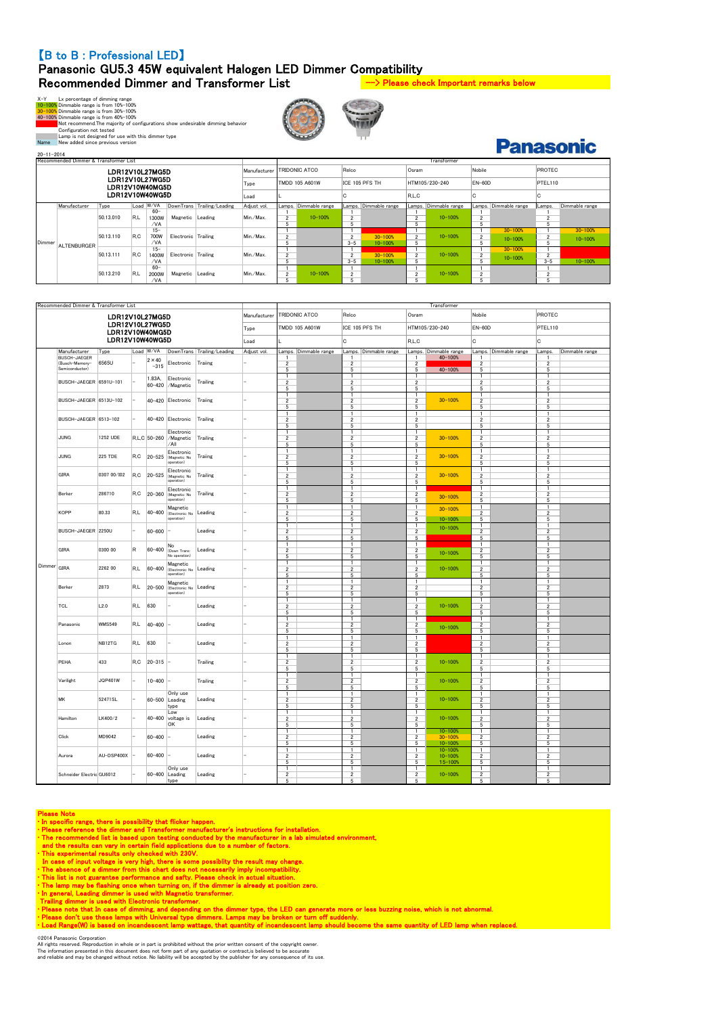### 【B to B : Professional LED】

# Panasonic GU5.3 45W equivalent Halogen LED Dimmer Compatibility Recommended Dimmer and Transformer List --> Please check Important remarks below

 $X \rightarrow Y$  Ly percentage of dimming range<br>10-100% Dimmable range is from 10%-100%<br>40-100% Dimmable range is from 30%-100%<br>40-100% Dimmable range is from 40%-100%<br>40-100% Dimmable range is from 40%-100%<br>Configuration not teste





**Panasonic** 

| $20 - 11 - 2014$ |                                       |           |     |           |                     |                            |             |                                      |                |                          |                |                |                       |                |                       |         | r anasvinu     |
|------------------|---------------------------------------|-----------|-----|-----------|---------------------|----------------------------|-------------|--------------------------------------|----------------|--------------------------|----------------|----------------|-----------------------|----------------|-----------------------|---------|----------------|
|                  | Recommended Dimmer & Transformer List |           |     |           |                     |                            |             |                                      |                |                          |                |                | Transformer           |                |                       |         |                |
|                  | LDR12V10L27MG5D                       |           |     |           |                     |                            |             | <b>TRIDONIC ATCO</b><br>Manufacturer |                | Relco                    |                |                |                       | Nobile         |                       | PROTEC  |                |
|                  | LDR12V10L27WG5D<br>LDR12V10W40MG5D    |           |     |           |                     |                            | Type        | <b>TMDD 105 A601W</b>                |                | ICE 105 PFS TH           |                | HTM105/230-240 |                       | $EN-60D$       |                       | PTEL110 |                |
|                  | LDR12V10W40WG5D                       |           |     |           |                     |                            |             |                                      |                |                          |                | R.L.C          |                       |                |                       | l C     |                |
|                  | Manufacturer                          | Type      |     | Load W/VA |                     | DownTrans Trailing/Leading | Adiust vol. | Lamps.                               | Dimmable range | Lamps.                   | Dimmable range |                | Lamps. Dimmable range |                | Lamps. Dimmable range | Lamps.  | Dimmable range |
|                  |                                       |           |     | $60 -$    |                     |                            |             |                                      |                |                          |                |                |                       |                |                       |         |                |
|                  |                                       | 50.13.010 | R.L | 1300W     | Magnetic            | Leading                    | Min./Max.   | $\overline{2}$                       | $10 - 100%$    | $\overline{2}$           |                | $\sim$         | $10 - 100%$           | $\overline{2}$ |                       |         |                |
|                  |                                       |           |     | /VA       |                     |                            |             |                                      |                | 5                        |                |                |                       | 5              |                       |         |                |
|                  |                                       |           |     | $15 -$    |                     |                            |             |                                      |                |                          |                |                |                       |                | $30 - 100%$           |         | $30 - 100%$    |
|                  |                                       | 50.13.110 | R.C | 700W      | Electronic Trailing |                            | Min./Max.   | $\overline{2}$                       |                | $\overline{\phantom{a}}$ | $30 - 100%$    | $\overline{2}$ | $10 - 100%$           | $\overline{2}$ | $10 - 100%$           |         | $10 - 100%$    |
| Dimmer           | <b>ALTENBURGER</b>                    |           |     | /VA       |                     |                            |             |                                      |                | $3 - 5$                  | $10 - 100%$    | 5              |                       | 5              |                       |         |                |
|                  |                                       |           |     | $15 -$    |                     |                            |             |                                      |                |                          |                |                |                       |                | $30 - 100%$           |         |                |
|                  |                                       | 50.13.111 | R.C | 1400W     | Electronic Trailing |                            | Min./Max.   |                                      |                | $\overline{\phantom{a}}$ | 30-100%        | $\overline{2}$ | $10 - 100%$           | $\overline{2}$ | 10-100%               |         |                |
|                  |                                       |           |     | /VA       |                     |                            |             |                                      |                | $3 - 5$                  | $10 - 100%$    |                |                       | 5              |                       | $3 - 5$ | $10 - 100%$    |
|                  |                                       |           |     | $60 -$    |                     |                            |             |                                      |                |                          |                |                |                       |                |                       |         |                |
|                  |                                       | 50.13.210 | R.L | 2000W     | Magnetic Leading    |                            | Min./Max.   |                                      | $10 - 100%$    | $\overline{\phantom{a}}$ |                | $\overline{ }$ | $10 - 100%$           | $\overline{2}$ |                       |         |                |
|                  |                                       |           |     | /VA       |                     |                            |             |                                      |                |                          |                |                |                       | 5              |                       |         |                |

|               | Recommended Dimmer & Transformer List |                                    |     |                         |                                                   |                            |              | Transformer                                           |                                                  |                                                       |                                           |                                                           |                                                   |                |  |
|---------------|---------------------------------------|------------------------------------|-----|-------------------------|---------------------------------------------------|----------------------------|--------------|-------------------------------------------------------|--------------------------------------------------|-------------------------------------------------------|-------------------------------------------|-----------------------------------------------------------|---------------------------------------------------|----------------|--|
|               |                                       | LDR12V10L27MG5D                    |     |                         |                                                   |                            | Manufacturer | TRIDONIC ATCO                                         | Relco                                            | Osram                                                 |                                           | Nobile                                                    | PROTEC                                            |                |  |
|               |                                       | LDR12V10L27WG5D<br>LDR12V10W40MG5D |     |                         |                                                   |                            | Type         | TMDD 105 A601W                                        | ICE 105 PFS TH                                   |                                                       | HTM105/230-240                            | $EN-60D$                                                  | PTEL110                                           |                |  |
|               |                                       | LDR12V10W40WG5D                    |     |                         |                                                   |                            | Load         |                                                       | c                                                | R, L, C                                               |                                           | C                                                         | C                                                 |                |  |
|               | Manufacturer                          | Type                               |     | Load W/VA               |                                                   | DownTrans Trailing/Leading | Adjust vol.  | Lamps. Dimmable range                                 | Lamps.<br>Dimmable range                         |                                                       | Lamps. Dimmable range                     | Lamps. Dimmable range                                     | Lamps.                                            | Dimmable range |  |
|               | <b>BUSCH-JAEGER</b><br>(Busch-Memory- | 6565U                              |     | $2 \times 40$<br>$-315$ | Electronic                                        | Traiing                    |              | $\overline{2}$                                        | $\overline{2}$                                   | $\mathbf{1}$<br>$\overline{\mathbf{2}}$               | 40-100%                                   | 2                                                         | 1<br>$\boldsymbol{2}$                             |                |  |
|               | Semiconductor)                        |                                    |     | 1.83A,                  | Electronic                                        |                            |              | $\overline{5}$<br>1                                   | $5\overline{5}$<br>$\mathbf{1}$                  | $\overline{5}$<br>$\mathbf{1}$                        | 40-100%                                   | $\overline{5}$<br>$\mathbf{1}$                            | 5<br>$\mathbf{1}$                                 |                |  |
|               | BUSCH-JAEGER 6591U-101                |                                    |     | 60-420                  | /Magnetic                                         | Trailing                   |              | $\overline{2}$<br>5                                   | $\overline{2}$<br>$\,$ 5 $\,$                    | $\overline{\mathbf{2}}$<br>5                          |                                           | $\overline{2}$<br>5                                       | $\overline{2}$<br>5                               |                |  |
|               | BUSCH-JAEGER 6513U-102                |                                    |     |                         | 40-420 Electronic                                 | Traiing                    |              | $\mathbf{1}$<br>$\overline{\mathbf{c}}$               | $\mathbf{1}$<br>$\overline{2}$                   | $\mathbf{1}$<br>$\overline{\mathbf{c}}$               | $30 - 100%$                               | $\mathbf{1}$<br>$\overline{\mathbf{c}}$                   | 1<br>$\overline{2}$                               |                |  |
|               |                                       |                                    |     |                         |                                                   |                            |              | 5<br>1                                                | 5<br>1                                           | 5<br>$\mathbf{1}$                                     |                                           | 5<br>$\mathbf{1}$                                         | 5<br>$\mathbf{1}$                                 |                |  |
|               | BUSCH-JAEGER 6513-102                 |                                    |     |                         | 40-420 Electronic                                 | Trailing                   |              | $\overline{2}$<br>$\overline{5}$                      | $\overline{2}$<br>5                              | $\overline{2}$<br>$\overline{5}$                      |                                           | $\overline{2}$<br>$\overline{5}$                          | $\overline{2}$<br>5                               |                |  |
|               | JUNG                                  | 1252 UDE                           |     |                         | Electronic<br>R.L.C 50-260 / Magnetic<br>/All     | Trailing                   |              | 1<br>$\overline{2}$<br>5                              | 1<br>$\overline{2}$<br>$\overline{5}$            | 1<br>$\overline{\mathbf{2}}$<br>$\overline{5}$        | $30 - 100%$                               | 1<br>$\overline{2}$<br>5                                  | 1<br>$\overline{2}$<br>5                          |                |  |
|               | <b>JUNG</b>                           | 225 TDE                            | R,C | $20 - 525$              | Electronic<br>(Magnetic: No<br>operation)         | Traiing                    |              | $\mathbf{1}$<br>$\overline{2}$<br>$\overline{5}$      | $\mathbf{1}$<br>$\overline{2}$<br>5              | $\mathbf{1}$<br>$\overline{2}$<br>5                   | $30 - 100%$                               | $\mathbf{1}$<br>$\overline{2}$<br>$\overline{5}$          | $\mathbf{1}$<br>$\overline{2}$<br>5               |                |  |
|               | GIRA                                  | 0307 00/102                        | R.C | $20 - 525$              | Electronic<br>(Magnetic: No<br>operation)         | Trailing                   |              | $\mathbf{1}$<br>$\overline{2}$<br>$\overline{5}$      | $\mathbf{1}$<br>$\overline{2}$<br>5              | $\mathbf{1}$<br>$\overline{\mathbf{2}}$<br>5          | $30 - 100%$                               | $\mathbf{1}$<br>$\overline{\mathbf{2}}$<br>5              | 1<br>$\overline{2}$<br>5                          |                |  |
|               | Berker                                | 286710                             | R.C | $20 - 360$              | Electronic<br>(Magnetic: No<br>operation)         | Trailing                   |              | $\mathbf{1}$<br>$\overline{\mathbf{2}}$<br>$\sqrt{5}$ | $\mathbf{1}$<br>$\sqrt{2}$<br>$\sqrt{5}$         | $\mathbf{1}$<br>2<br>$\sqrt{5}$                       | $30 - 100%$                               | $\mathbf{1}$<br>$\overline{\mathbf{2}}$<br>$\overline{5}$ | $\mathbf{1}$<br>$\overline{\phantom{a}}$<br>5     |                |  |
|               | KOPP                                  | 80.33                              | R.L | 40-400                  | Magnetic<br>(Electronic: No<br>operation)         | Leading                    |              | 1<br>$\overline{\mathbf{2}}$                          | $\mathbf{1}$<br>$\overline{2}$                   | 1<br>$\overline{\mathbf{2}}$                          | $30 - 100%$                               | $\mathbf{1}$<br>$\overline{\mathbf{2}}$                   | $\mathbf{1}$<br>$\overline{2}$                    |                |  |
|               | BUSCH-JAEGER 2250U                    |                                    |     | 60-600                  |                                                   | Leading                    |              | 5<br>$\mathbf{1}$<br>$\overline{\mathbf{2}}$          | $\,$ 5 $\,$<br>$\mathbf{1}$<br>$\overline{2}$    | 5<br>$\mathbf{1}$<br>$\overline{\mathbf{2}}$          | 10-100%<br>10-100%                        | 5<br>$\mathbf{1}$<br>2                                    | 5<br>$\mathbf{1}$<br>$\overline{2}$               |                |  |
|               | GIRA                                  | 0300 00                            | R   | $60 - 400$              | No<br>(Down Trans:                                | Leading                    |              | $\overline{5}$<br>$\mathbf{1}$<br>$\overline{2}$      | $\overline{5}$<br>$\mathbf{1}$<br>$\overline{2}$ | 5<br>$\mathbf{1}$<br>$\overline{\mathbf{2}}$          | $10 - 100%$                               | $\overline{5}$<br>$\mathbf{1}$<br>$\overline{\mathbf{2}}$ | $\overline{5}$<br>1<br>$\overline{2}$             |                |  |
| $Dimmer$ GIRA |                                       |                                    |     |                         | No operation)<br>Magnetic                         |                            |              | $\overline{5}$<br>$\mathbf{1}$                        | $\overline{5}$<br>$\mathbf{1}$                   | $\overline{5}$<br>$\mathbf{1}$                        |                                           | $\overline{5}$<br>$\mathbf{1}$                            | $\overline{5}$<br>1                               |                |  |
|               |                                       | 2262 00                            | R.L | $60 - 400$              | (Electronic: No<br>operation)                     | Leading                    |              | $\overline{2}$<br>5<br>$\overline{1}$                 | $\overline{2}$<br>$\,$ 5 $\,$<br>$\mathbf{1}$    | $\overline{2}$<br>5<br>$\mathbf{1}$                   | $10 - 100%$                               | $\overline{2}$<br>5<br>$\mathbf{1}$                       | $\overline{\mathbf{2}}$<br>5<br>$\mathbf{1}$      |                |  |
|               | Berker                                | 2873                               | R.L | $20 - 500$              | Magnetic<br>(Electronic: No Leading<br>operation) |                            |              | $\overline{\mathbf{2}}$<br>$\overline{5}$             | $\overline{2}$<br>$\overline{5}$                 | $\overline{2}$<br>$\overline{5}$                      |                                           | $\overline{2}$<br>5                                       | $\overline{2}$<br>$\overline{5}$                  |                |  |
|               | <b>TCL</b>                            | L2.0                               | R.L | 630                     |                                                   | Leading                    |              | $\mathbf{1}$<br>$\overline{\mathbf{2}}$<br>5          | $\mathbf{1}$<br>$\overline{2}$<br>5              | 1<br>$\overline{\mathbf{2}}$<br>5                     | $10 - 100%$                               | $\mathbf{1}$<br>$\overline{2}$<br>5                       | $\mathbf{1}$<br>$\boldsymbol{2}$<br>5             |                |  |
|               | Panasonic                             | <b>WMS549</b>                      | R.L | 40-400                  |                                                   | Leading                    |              | $\overline{1}$<br>$\overline{2}$<br>$\overline{5}$    | $\mathbf{1}$<br>$\overline{2}$<br>$\overline{5}$ | $\mathbf{1}$<br>$\boldsymbol{2}$<br>$\overline{5}$    | $10 - 100%$                               | $\mathbf{1}$<br>$\overline{2}$<br>$\overline{5}$          | $\mathbf{1}$<br>$\overline{2}$<br>5               |                |  |
|               | Lonon                                 | NB12TG                             | R.L | 630                     |                                                   | Leading                    |              | $\mathbf{1}$<br>$\overline{2}$<br>5                   | $\mathbf{1}$<br>$\overline{2}$<br>$\,$ 5 $\,$    | $\mathbf{1}$<br>$\overline{\mathbf{2}}$<br>5          |                                           | $\overline{1}$<br>$\overline{2}$<br>5                     | $\mathbf{1}$<br>$\overline{\mathbf{2}}$<br>5      |                |  |
|               | PEHA                                  | 433                                | R.C | $20 - 315$              |                                                   | Trailing                   |              | $\mathbf{1}$<br>$\overline{2}$<br>5                   | $\mathbf{1}$<br>$\overline{2}$<br>5              | $\mathbf{1}$<br>$\overline{2}$<br>5                   | $10 - 100%$                               | $\mathbf{1}$<br>2<br>5                                    | 1<br>$\overline{2}$<br>5                          |                |  |
|               | Varilight                             | JQP401W                            |     | $10 - 400$              |                                                   | Trailing                   |              | $\mathbf{1}$<br>$\overline{2}$<br>$\overline{5}$      | $\mathbf{1}$<br>$\overline{2}$<br>5              | $\mathbf{1}$<br>$\overline{2}$<br>5                   | $10 - 100%$                               | $\mathbf{1}$<br>2<br>5                                    | $\mathbf{1}$<br>$\mathfrak{p}$<br>5               |                |  |
|               | МK                                    | 52471SL                            |     | 60-500                  | Only use<br>Leading<br>type                       | Leading                    |              | $\overline{1}$<br>$\overline{2}$<br>$\,$ 5 $\,$       | $\mathbf{1}$<br>$\overline{2}$<br>$\,$ 5 $\,$    | $\mathbf{1}$<br>$\overline{2}$<br>5                   | $10 - 100%$                               | $\mathbf{1}$<br>$\overline{2}$<br>5                       | $\mathbf{1}$<br>$\overline{2}$<br>5               |                |  |
|               | Hamilton                              | LK400/2                            |     | $40 - 400$              | Low<br>voltage is<br>OK                           | Leading                    |              | $\mathbf{1}$<br>$\overline{2}$<br>5                   | $\mathbf{1}$<br>$\overline{2}$<br>5              | $\mathbf{1}$<br>$\overline{\mathbf{2}}$<br>$\sqrt{5}$ | $10 - 100%$                               | 1<br>$\overline{\mathbf{2}}$<br>$\overline{5}$            | 1<br>$\overline{2}$<br>5                          |                |  |
|               | Click                                 | MD9042                             |     | $60 - 400$              |                                                   | Leading                    |              | $\mathbf{1}$<br>$\overline{2}$<br>$\,$ 5 $\,$         | $\mathbf{1}$<br>$\overline{2}$<br>$\,$ 5 $\,$    | $\mathbf{1}$<br>$\overline{2}$<br>5                   | $10 - 100%$<br>$30 - 100%$<br>$10 - 100%$ | $\overline{1}$<br>$\overline{\mathbf{2}}$<br>5            | $\mathbf{1}$<br>$\overline{\phantom{a}}$<br>5     |                |  |
|               | Aurora                                | AU-DSP400X                         |     | $60 - 400$              |                                                   | Leading                    |              | $\mathbf{1}$<br>$\overline{2}$                        | $\mathbf{1}$<br>$\overline{2}$                   | $\mathbf{1}$<br>$\overline{2}$                        | $10 - 100%$<br>10-100%                    | $\mathbf{1}$<br>$\overline{2}$                            | 1<br>$\overline{2}$                               |                |  |
|               | Schneider Electric GU6012             |                                    |     |                         | Only use<br>60-400 Leading<br>type                | Leading                    |              | 5<br>1<br>$\overline{\mathbf{2}}$<br>5                | 5<br>1<br>$\overline{2}$<br>5                    | 5<br>$\mathbf{1}$<br>$\overline{\mathbf{2}}$<br>5     | 15-1009<br>$10 - 100%$                    | 5<br>1<br>$\overline{\mathbf{2}}$<br>5                    | 5<br>$\mathbf{1}$<br>$\overline{\mathbf{2}}$<br>5 |                |  |

- 
- 
- 
- 
- 
- 
- 
- 
- 
- 
- 

Please Note<br>
"In specific range, there is possibility that flicker happen.<br>
"In specific range, there is possibility that flicker happen.<br>
"Please reference the dimmer and Transformer manufacturer's instructions for instal

©2014 Panasonic Corporation<br>All rights reserved. Reproduction in whole or in part is prohibited without the prior written consent of the copyright owner.<br>The information presented in this document does not form part of any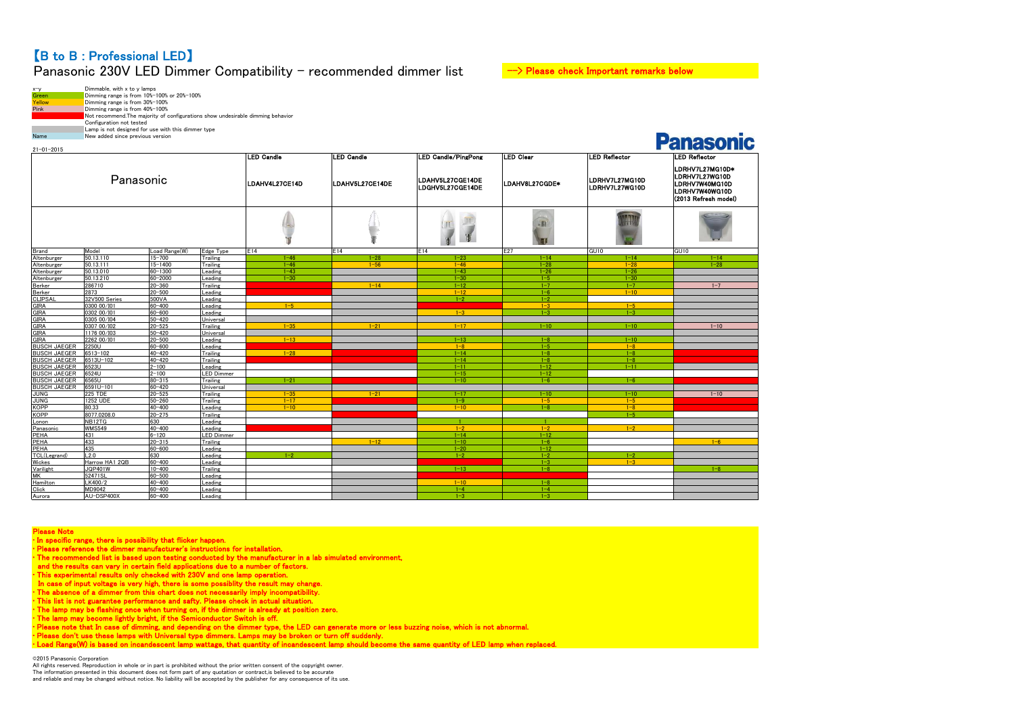# 【B to B : Professional LED】 Panasonic 230V LED Dimmer Compatibility - recommended dimmer list  $\rightarrow$  Please check Important remarks below

| $x-y$       | Dimmable, with x to y lamps                                                     |
|-------------|---------------------------------------------------------------------------------|
| Green       | Dimming range is from 10%-100% or 20%-100%                                      |
| Yellow      | Dimming range is from 30%-100%                                                  |
| <b>Pink</b> | Dimming range is from 40%-100%                                                  |
|             | Not recommend. The majority of configurations show undesirable dimming behavior |
|             | Configuration not tested                                                        |
|             | Lamp is not designed for use with this dimmer type                              |
| Name        | New added since previous version                                                |

| <b>LED Candle</b><br><b>LED Candle</b><br><b>LED Candle/PingPong</b><br>LED Clear<br><b>LED Reflector</b><br>Panasonic<br>LDAHV5L27CGE14DE<br>LDRHV7L27MG10D<br>LDAHV4L27CE14D<br>LDAHV5L27CE14DE<br>LDAHV8L27CGDE*<br>LDRHV7L27WG10D<br>LDGHV5L27CGE14DE | <b>LED Reflector</b><br>LDRHV7L27MG10D*<br>LDRHV7L27WG10D<br>LDRHV7W40MG10D<br>LDRHV7W40WG10D<br>(2013 Refresh model)<br>GU <sub>10</sub><br>$1 - 14$<br>$1 - 28$ |
|-----------------------------------------------------------------------------------------------------------------------------------------------------------------------------------------------------------------------------------------------------------|-------------------------------------------------------------------------------------------------------------------------------------------------------------------|
|                                                                                                                                                                                                                                                           |                                                                                                                                                                   |
|                                                                                                                                                                                                                                                           |                                                                                                                                                                   |
| <b>SAR</b>                                                                                                                                                                                                                                                |                                                                                                                                                                   |
| E27<br>Brand<br>Model<br>Load Range(W)<br>Edge Type<br>E14<br>E14<br>E14<br>GUI0                                                                                                                                                                          |                                                                                                                                                                   |
| 50.13.110<br>$1 - 28$<br>Altenburger<br>$15 - 700$<br>Trailing<br>$1 - 46$<br>$1 - 23$<br>$1 - 14$<br>$1 - 14$                                                                                                                                            |                                                                                                                                                                   |
| Altenburger<br>50.13.111<br>15-1400<br>$1 - 46$<br>$1 - 56$<br>$1 - 28$<br>$1 - 28$<br>Trailing<br>$1 - 46$                                                                                                                                               |                                                                                                                                                                   |
| 60-1300<br>Altenburger<br>50.13.010<br>Leading<br>$1 - 43$<br>$1 - 43$<br>$1 - 26$<br>$1 - 26$                                                                                                                                                            |                                                                                                                                                                   |
| Altenburger<br>50.13.210<br>60-2000<br>$1 - 30$<br>$1 - 30$<br>Leading<br>$1 - 30$<br>$1 - 5$                                                                                                                                                             |                                                                                                                                                                   |
| 286710<br>20-360<br>$1 - 14$<br>Berker<br>Trailing<br>$1 - 12$<br>$1 - 7$<br>$1 - 7$                                                                                                                                                                      | $1 - 7$                                                                                                                                                           |
| Berker<br>2873<br>$20 - 500$<br>$1 - 10$<br>Leading<br>$1 - 12$<br>$1 - 6$                                                                                                                                                                                |                                                                                                                                                                   |
| <b>CLIPSAI</b><br>500VA<br>$1 - 2$<br>32V500 Series<br>Leading<br>$1 - 2$                                                                                                                                                                                 |                                                                                                                                                                   |
| 0300 00/101<br>60-400<br><b>GIRA</b><br>$1 - 5$<br>$1 - 3$<br>$1 - 5$<br>eading                                                                                                                                                                           |                                                                                                                                                                   |
| <b>GIRA</b><br>0302 00/101<br>60-600<br>$1 - 3$<br>$1 - 3$<br>$1 - 3$<br>Leading                                                                                                                                                                          |                                                                                                                                                                   |
| <b>GIRA</b><br>0305 00/104<br>50-420<br>Universal                                                                                                                                                                                                         |                                                                                                                                                                   |
| <b>GIRA</b><br>0307 00/102<br>$20 - 525$<br>Trailing<br>$1 - 35$<br>$1 - 21$<br>$1 - 17$<br>$1 - 10$<br>$1 - 10$                                                                                                                                          | $1 - 10$                                                                                                                                                          |
| <b>GIRA</b><br>1176 00/103<br>50-420<br>Universal                                                                                                                                                                                                         |                                                                                                                                                                   |
| <b>GIRA</b><br>2262 00/101<br>$20 - 500$<br>$1 - 13$<br>Leading<br>$1 - 13$<br>$1 - 8$<br>$1 - 10$                                                                                                                                                        |                                                                                                                                                                   |
| <b>BUSCH JAEGER</b><br>2250U<br>60-600<br>Leading<br>$1 - 8$<br>$1 - 5$<br>$1 - 8$                                                                                                                                                                        |                                                                                                                                                                   |
| <b>BUSCH JAEGER</b><br>$1 - 28$<br>6513-102<br>40-420<br>$1 - 14$<br>$1 - 8$<br>Trailing<br>$1 - 8$                                                                                                                                                       |                                                                                                                                                                   |
| <b>BUSCH JAEGER</b><br>40-420<br>6513U-102<br>Trailing<br>$1 - 14$<br>$1 - 8$<br>$1 - 8$                                                                                                                                                                  |                                                                                                                                                                   |
| 6523U<br>$2 - 100$<br>$1 - 12$<br><b>BUSCH JAEGER</b><br>Leading<br>$1 - 11$<br>$1 - 11$                                                                                                                                                                  |                                                                                                                                                                   |
| <b>BUSCH JAEGER</b><br>6524U<br>LED Dimmer<br>$2 - 100$<br>$1 - 15$<br>$1 - 12$<br><b>BUSCH JAEGER</b><br>$80 - 315$                                                                                                                                      |                                                                                                                                                                   |
| 6565U<br>$1 - 6$<br>Trailing<br>$1 - 21$<br>$1 - 10$<br>$1 - 6$<br>6591U-101                                                                                                                                                                              |                                                                                                                                                                   |
| <b>BUSCH JAEGER</b><br>60-420<br>Universal<br><b>225 TDE</b><br>$20 - 525$<br>$1 - 35$<br>$1 - 21$<br>Trailing<br>$1 - 17$<br>$1 - 10$<br>$1 - 10$                                                                                                        | $1 - 10$                                                                                                                                                          |
| <b>JUNG</b><br><b>JUNG</b><br>1252 UDE<br>$50 - 260$<br>Trailing<br>$1 - 17$<br>$1 - 9$<br>$1 - 5$<br>$1 - 5$                                                                                                                                             |                                                                                                                                                                   |
| <b>KOPP</b><br>80.33<br>40-400<br>$1 - 10$<br>$1 - 10$<br>$1 - 8$<br>$1 - 8$<br>Leading                                                                                                                                                                   |                                                                                                                                                                   |
| <b>KOPP</b><br>8077.0208.0<br>20-275<br>$1 - 5$<br>Trailing                                                                                                                                                                                               |                                                                                                                                                                   |
| NB12TG<br>630<br>Lonon<br>eading                                                                                                                                                                                                                          |                                                                                                                                                                   |
| WMS549<br>$40 - 400$<br>$1 - 2$<br>$1 - 2$<br>Panasonic<br>Leading<br>$1 - 2$                                                                                                                                                                             |                                                                                                                                                                   |
| PEHA<br>431<br>$6 - 120$<br>LED Dimmer<br>$1 - 14$<br>$1 - 12$                                                                                                                                                                                            |                                                                                                                                                                   |
| 433<br>PEHA<br>$20 - 315$<br>$1 - 12$<br>Trailing<br>$1 - 10$<br>$1 - 6$                                                                                                                                                                                  | $1 - 6$                                                                                                                                                           |
| PEHA<br>435<br>60-600<br>Leading<br>$1 - 12$<br>$1 - 20$                                                                                                                                                                                                  |                                                                                                                                                                   |
| L2.0<br>TCL(Legrand)<br>630<br>eading<br>$1 - 2$<br>$1 - 2$<br>$1 - 2$<br>$1 - 2$                                                                                                                                                                         |                                                                                                                                                                   |
| Wickes<br>Harrow HA1 2QB<br>60-400<br>Leading<br>$1 - 3$<br>$1 - 3$                                                                                                                                                                                       |                                                                                                                                                                   |
| <b>JQP401W</b><br>10-400<br>Varilight<br>Trailing<br>$1 - 13$<br>$1 - 8$                                                                                                                                                                                  | $1 - 8$                                                                                                                                                           |
| MK<br>52471SL<br>60-500<br>_eading                                                                                                                                                                                                                        |                                                                                                                                                                   |
| LK400/2<br>Hamilton<br>40-400<br>$1 - 10$<br>$1 - 8$<br>_eading                                                                                                                                                                                           |                                                                                                                                                                   |
| Click<br>MD9042<br>60-400<br>$1 - 4$<br>$1 - 4$<br>Leading                                                                                                                                                                                                |                                                                                                                                                                   |
| Aurora<br>AU-DSP400X<br>60-400<br>Leading<br>$1 - 3$<br>$1 - 3$                                                                                                                                                                                           |                                                                                                                                                                   |

Please Note<br>
"In specific range, there is possibility that flicker happen.<br>
"Please reference the dimmer manufacturer's instructions for installation.<br>
"Please reference the dimmer manufacturer's instructions for installat

©2015 Panasonic Corporation

All rights reserved. Reproduction in whole or in part is prohibited without the prior written consent of the copyright owner. The information presented in this document does not form part of any quotation or contract,is believed to be accurate and reliable and may be changed without notice. No liability will be accepted by the publisher for any consequence of its use.

# Donoconio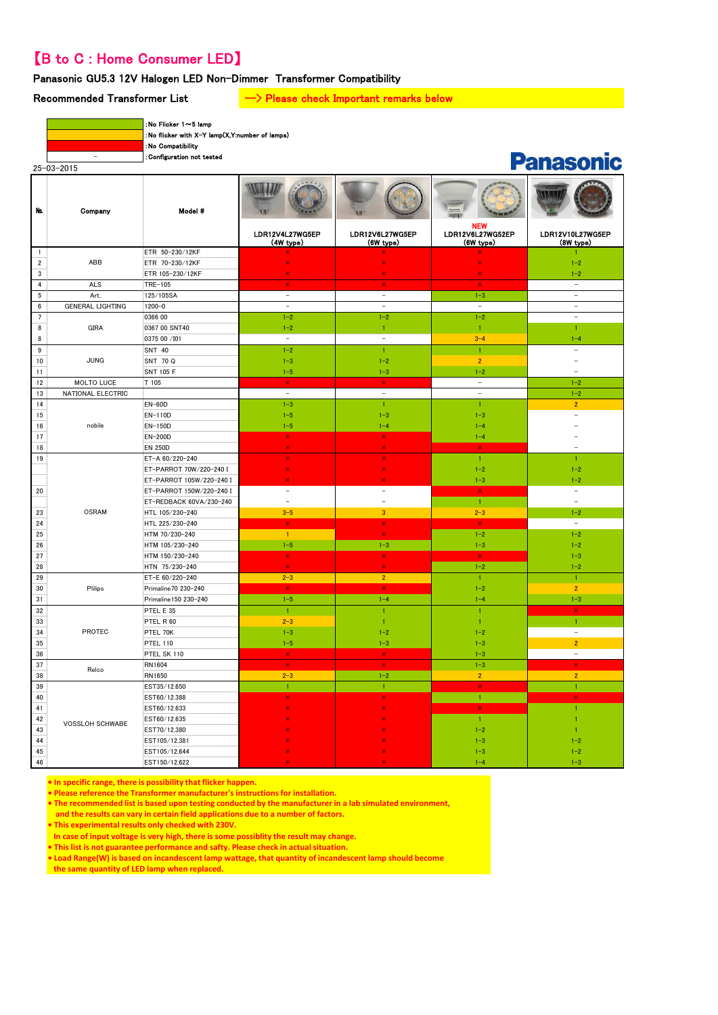# 【B to C : Home Consumer LED】

# Panasonic GU5.3 12V Halogen LED Non-Dimmer Transformer Compatibility

# Recommended Transformer List  $\longrightarrow$  Please check Important remarks below

| $25 - 03 - 2015$ |  |
|------------------|--|

:No Flicker 1~5 lamp :No flicker with X-Y lamp(X,Y:number of lamps)

:No Compatibility

- :Configuration not tested

# **Panasonic**

| Na.                     | Company                 | Model #                  | LDR12V4L27WG5EP<br>(4W type) | LDR12V6L27WG5EP<br>(6W type) | <b>NEW</b><br>LDR12V6L27WG52EP<br>(6W type) | LDR12V10L27WG5EP<br>(8W type) |
|-------------------------|-------------------------|--------------------------|------------------------------|------------------------------|---------------------------------------------|-------------------------------|
| $\mathbf{1}$            |                         | ETR 50-230/12KF          |                              |                              |                                             |                               |
| $\overline{\mathbf{c}}$ | ABB                     | ETR 70-230/12KF          | ×                            | ×                            | $\overline{\mathbf{x}}$                     | $1 - 2$                       |
| $\mathbf{3}$            |                         | ETR 105-230/12KF         | $\overline{\mathbf{x}}$      | $\bar{\mathbf{x}}$           | $\pmb{\times}$                              | $1 - 2$                       |
| $\overline{4}$          | <b>ALS</b>              | TRE-105                  | ×                            | $\mathsf{x}$                 | $\mathbf{x}$                                | $\equiv$                      |
| 5                       | Art.                    | 125/105SA                | $\sim$                       | $\sim$                       | $1 - 3$                                     |                               |
| 6                       | <b>GENERAL LIGHTING</b> | $1200 - 0$               | $\equiv$                     | $\equiv$                     | $\equiv$                                    | $\equiv$                      |
| $\overline{7}$          |                         | 0366 00                  | $1 - 2$                      | $1 - 2$                      | $1 - 2$                                     | $\equiv$                      |
| 8                       | <b>GIRA</b>             | 0367 00 SNT40            | $1 - 2$                      | $\mathbf{1}$                 | $\mathbf{1}$                                | $\mathbf{1}$                  |
| 8                       |                         | 0375 00 /101             | $\sim$                       | $\sim$                       | $3 - 4$                                     | $1 - 4$                       |
| 9                       |                         | <b>SNT 40</b>            | $1 - 2$                      | 1                            | $\overline{1}$                              | $\overline{a}$                |
| 10                      | <b>JUNG</b>             | SNT 70 Q                 | $1 - 3$                      | $1 - 2$                      | $\overline{2}$                              | $\overline{\phantom{a}}$      |
| 11                      |                         | <b>SNT 105 F</b>         | $1 - 5$                      | $1 - 3$                      | $1 - 2$                                     |                               |
| 12                      | <b>MOLTO LUCE</b>       | T 105                    | $\pmb{\times}$               | $\pmb{\times}$               | $\equiv$                                    | $1 - 2$                       |
| 13                      | NATIONAL ELECTRIC       |                          | $\sim$                       | $\sim$                       | $\sim$                                      | $1 - 2$                       |
| 14                      |                         | $EN-60D$                 | $1 - 3$                      | $\mathbf{1}$                 | $\mathbf{1}$                                | $\overline{2}$                |
| 15                      |                         | EN-110D                  | $1 - 5$                      | $1 - 3$                      | $1 - 3$                                     |                               |
| 16                      | nobile                  | EN-150D                  | $1 - 5$                      | $1 - 4$                      | $1 - 4$                                     |                               |
| 17                      |                         | <b>EN-200D</b>           | $\mathsf{x}$                 | $\mathsf{x}$                 | $1 - 4$                                     |                               |
| 18                      |                         | <b>EN 250D</b>           | $\mathbf{x}$                 | $\bar{\mathbf{x}}$           | $\mathbf{x}$                                |                               |
| 19                      |                         | ET-A 60/220-240          | ×                            | ×                            | $\mathbf{1}$                                | $\blacklozenge$               |
|                         |                         | ET-PARROT 70W/220-240 I  | $\boldsymbol{\times}$        | $\pmb{\times}$               | $1 - 2$                                     | $1 - 2$                       |
|                         |                         | ET-PARROT 105W/220-240 I | ×                            | ×                            | $1 - 3$                                     | $1 - 2$                       |
| 20                      |                         | ET-PARROT 150W/220-240 I | $\equiv$                     | $\equiv$                     | $\pmb{\times}$                              | $\equiv$                      |
|                         |                         | ET-REDBACK 60VA/230-240  | $\overline{a}$               | L,                           | $\mathbf{1}$                                | $\overline{a}$                |
| 23                      | <b>OSRAM</b>            | HTL 105/230-240          | $3 - 5$                      | $\overline{3}$               | $2 - 3$                                     | $1 - 2$                       |
| 24                      |                         | HTL 225/230-240          | ×                            | ×                            | $\pmb{\times}$                              | $\equiv$                      |
| 25                      |                         | HTM 70/230-240           | $\mathbf{1}$                 | $\pmb{\times}$               | $1 - 2$                                     | $1 - 2$                       |
| 26                      |                         | HTM 105/230-240          | $1 - 5$                      | $1 - 3$                      | $1 - 3$                                     | $1 - 2$                       |
| 27                      |                         | HTM 150/230-240          | ×                            | $\pmb{\times}$               | $\mathbf{x}$                                | $1 - 3$                       |
| 28                      |                         | HTN 75/230-240           | $\mathbf{x}$                 | $\bar{\mathbf{x}}$           | $1 - 2$                                     | $1 - 2$                       |
| 29                      |                         | ET-E 60/220-240          | $2 - 3$                      | $\overline{2}$               | $\mathbf{1}$                                | $\mathbf{1}$                  |
| 30                      | Plilips                 | Primaline70 230-240      | $\pmb{\times}$               | $\bar{\mathbf{x}}$           | $1 - 2$                                     | $\overline{2}$                |
| 31                      |                         | Primaline150 230-240     | $1 - 5$                      | $1 - 4$                      | $1 - 4$                                     | $1 - 3$                       |
| 32                      |                         | PTEL E 35                | $\mathbf{1}$                 | $\mathbf{1}$                 | $\mathbf{1}$                                | $\pmb{\times}$                |
| 33                      |                         | PTEL R 60                | $2 - 3$                      | $\mathbf{1}$                 | $\mathbf{1}$                                | $\mathbf{1}$                  |
| 34                      | PROTEC                  | PTEL 70K                 | $1 - 3$                      | $1 - 2$                      | $1 - 2$                                     | $\equiv$                      |
| 35                      |                         | <b>PTEL 110</b>          | $1 - 5$                      | $1 - 3$                      | $1 - 3$                                     | $\overline{2}$                |
| 36                      |                         | PTEL SK 110              | $\mathbf{x}$                 | $\mathbf{x}$ .               | $1 - 3$                                     | $\equiv$                      |
| 37                      | Relco                   | RN1604                   | $\boldsymbol{\times}$        | $\boldsymbol{\times}$        | $1 - 3$                                     | ×                             |
| 38                      |                         | RN1650                   | $2 - 3$                      | $1 - 2$                      | 2 <sup>7</sup>                              | $\overline{2}$                |
| 39                      |                         | EST35/12.650             | $\mathbf{1}$                 | $\overline{1}$               | $\bar{\mathbf{x}}$                          | $\overline{1}$                |
| 40                      |                         | EST60/12.388             | ×                            | ×                            | $\mathbf{1}$                                | $\boldsymbol{\mathsf{x}}$     |
| 41                      |                         | EST60/12.633             |                              |                              | $\pmb{\times}$                              |                               |
| 42                      | <b>VOSSLOH SCHWABE</b>  | EST60/12.635             |                              |                              | $\mathbf{1}$                                |                               |
| 43                      |                         | EST70/12.380             |                              |                              | $1 - 2$                                     |                               |
| 44                      |                         | EST105/12.381            |                              |                              | $1 - 3$                                     | $ -2$                         |
| 45                      |                         | EST105/12.644            |                              |                              | $1 - 3$                                     | $1 - 2$                       |
| 46                      |                         | EST150/12.622            |                              |                              | $1 - 4$                                     | $1 - 3$                       |

**• In specific range, there is possibility that flicker happen.**

**• Please reference the Transformer manufacturer's instructions for installation.**

**• The recommended list is based upon testing conducted by the manufacturer in a lab simulated environment,**

 **and the results can vary in certain field applications due to a number of factors.**

**• This experimental results only checked with 230V.**

**In case of input voltage is very high, there is some possiblity the result may change.**

**• This list is not guarantee performance and safty. Please check in actual situation.**

**• Load Range(W) is based on incandescent lamp wattage, that quantity of incandescent lamp should become**

 **the same quantity of LED lamp when replaced.**